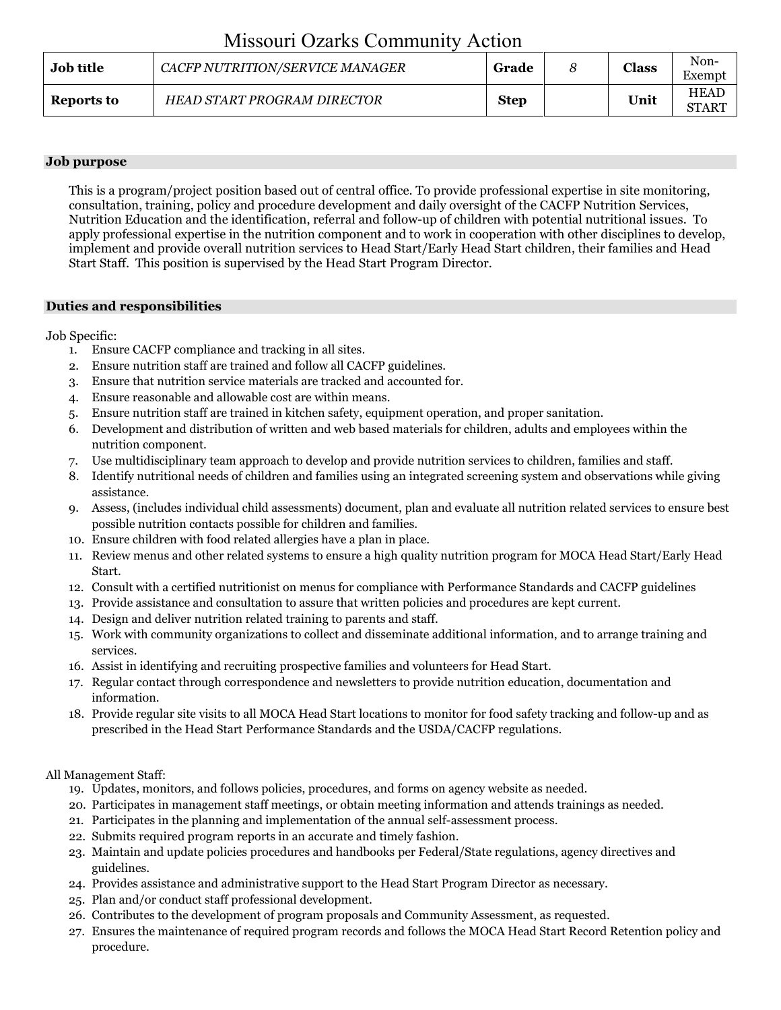# Missouri Ozarks Community Action

| <b>Job title</b> | CACFP NUTRITION/SERVICE MANAGER | Grade       | <b>Class</b> | Non-<br>Exempt              |
|------------------|---------------------------------|-------------|--------------|-----------------------------|
| Reports to       | HEAD START PROGRAM DIRECTOR     | <b>Step</b> | Unit         | <b>HEAD</b><br><b>START</b> |

### **Job purpose**

This is a program/project position based out of central office. To provide professional expertise in site monitoring, consultation, training, policy and procedure development and daily oversight of the CACFP Nutrition Services, Nutrition Education and the identification, referral and follow-up of children with potential nutritional issues. To apply professional expertise in the nutrition component and to work in cooperation with other disciplines to develop, implement and provide overall nutrition services to Head Start/Early Head Start children, their families and Head Start Staff. This position is supervised by the Head Start Program Director.

# **Duties and responsibilities**

Job Specific:

- 1. Ensure CACFP compliance and tracking in all sites.
- 2. Ensure nutrition staff are trained and follow all CACFP guidelines.
- 3. Ensure that nutrition service materials are tracked and accounted for.
- 4. Ensure reasonable and allowable cost are within means.
- 5. Ensure nutrition staff are trained in kitchen safety, equipment operation, and proper sanitation.
- 6. Development and distribution of written and web based materials for children, adults and employees within the nutrition component.
- 7. Use multidisciplinary team approach to develop and provide nutrition services to children, families and staff.
- 8. Identify nutritional needs of children and families using an integrated screening system and observations while giving assistance.
- 9. Assess, (includes individual child assessments) document, plan and evaluate all nutrition related services to ensure best possible nutrition contacts possible for children and families.
- 10. Ensure children with food related allergies have a plan in place.
- 11. Review menus and other related systems to ensure a high quality nutrition program for MOCA Head Start/Early Head Start.
- 12. Consult with a certified nutritionist on menus for compliance with Performance Standards and CACFP guidelines
- 13. Provide assistance and consultation to assure that written policies and procedures are kept current.
- 14. Design and deliver nutrition related training to parents and staff.
- 15. Work with community organizations to collect and disseminate additional information, and to arrange training and services.
- 16. Assist in identifying and recruiting prospective families and volunteers for Head Start.
- 17. Regular contact through correspondence and newsletters to provide nutrition education, documentation and information.
- 18. Provide regular site visits to all MOCA Head Start locations to monitor for food safety tracking and follow-up and as prescribed in the Head Start Performance Standards and the USDA/CACFP regulations.

# All Management Staff:

- 19. Updates, monitors, and follows policies, procedures, and forms on agency website as needed.
- 20. Participates in management staff meetings, or obtain meeting information and attends trainings as needed.
- 21. Participates in the planning and implementation of the annual self-assessment process.
- 22. Submits required program reports in an accurate and timely fashion.
- 23. Maintain and update policies procedures and handbooks per Federal/State regulations, agency directives and guidelines.
- 24. Provides assistance and administrative support to the Head Start Program Director as necessary.
- 25. Plan and/or conduct staff professional development.
- 26. Contributes to the development of program proposals and Community Assessment, as requested.
- 27. Ensures the maintenance of required program records and follows the MOCA Head Start Record Retention policy and procedure.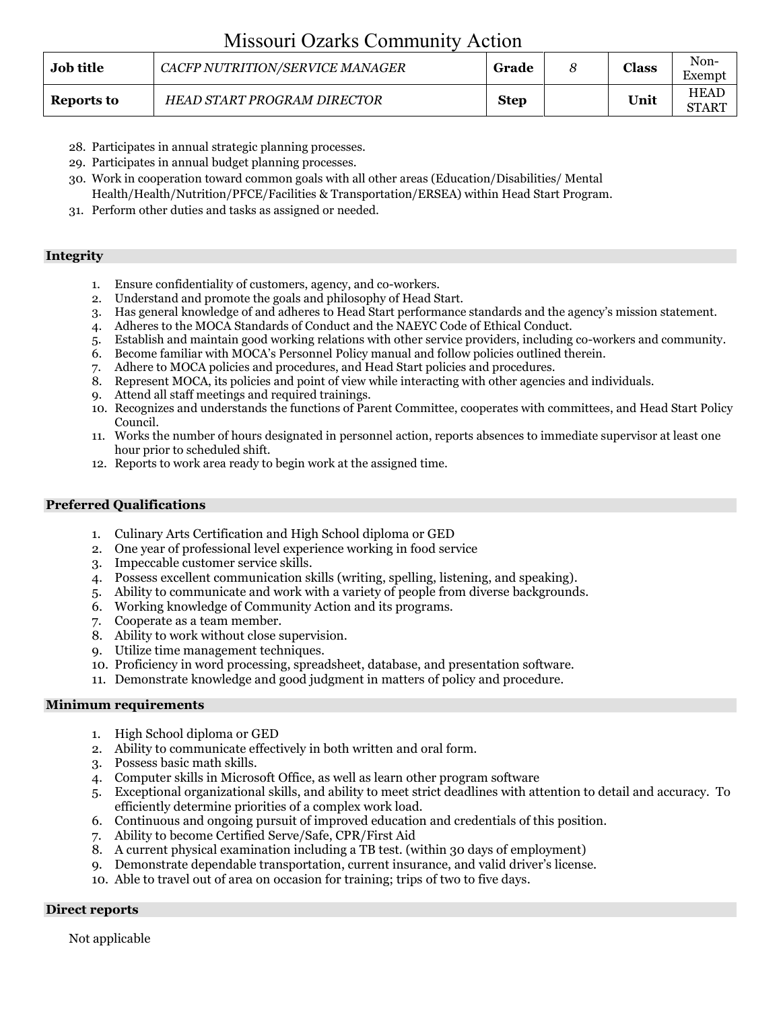# Missouri Ozarks Community Action

| <b>Job title</b> | CACFP NUTRITION/SERVICE MANAGER    | Grade       | Class | Non-<br>Exempt              |
|------------------|------------------------------------|-------------|-------|-----------------------------|
| Reports to       | <b>HEAD START PROGRAM DIRECTOR</b> | <b>Step</b> | Unit  | <b>HEAD</b><br><b>START</b> |

- 28. Participates in annual strategic planning processes.
- 29. Participates in annual budget planning processes.
- 30. Work in cooperation toward common goals with all other areas (Education/Disabilities/ Mental Health/Health/Nutrition/PFCE/Facilities & Transportation/ERSEA) within Head Start Program.
- 31. Perform other duties and tasks as assigned or needed.

### **Integrity**

- 1. Ensure confidentiality of customers, agency, and co-workers.
- 2. Understand and promote the goals and philosophy of Head Start.
- 3. Has general knowledge of and adheres to Head Start performance standards and the agency's mission statement.
- 4. Adheres to the MOCA Standards of Conduct and the NAEYC Code of Ethical Conduct.
- 5. Establish and maintain good working relations with other service providers, including co-workers and community.
- 6. Become familiar with MOCA's Personnel Policy manual and follow policies outlined therein.
- 7. Adhere to MOCA policies and procedures, and Head Start policies and procedures.
- 8. Represent MOCA, its policies and point of view while interacting with other agencies and individuals.
- 9. Attend all staff meetings and required trainings.
- 10. Recognizes and understands the functions of Parent Committee, cooperates with committees, and Head Start Policy Council.
- 11. Works the number of hours designated in personnel action, reports absences to immediate supervisor at least one hour prior to scheduled shift.
- 12. Reports to work area ready to begin work at the assigned time.

#### **Preferred Qualifications**

- 1. Culinary Arts Certification and High School diploma or GED
- 2. One year of professional level experience working in food service
- 3. Impeccable customer service skills.
- 4. Possess excellent communication skills (writing, spelling, listening, and speaking).
- 5. Ability to communicate and work with a variety of people from diverse backgrounds.
- 6. Working knowledge of Community Action and its programs.
- 7. Cooperate as a team member.
- 8. Ability to work without close supervision.
- 9. Utilize time management techniques.
- 10. Proficiency in word processing, spreadsheet, database, and presentation software.
- 11. Demonstrate knowledge and good judgment in matters of policy and procedure.

#### **Minimum requirements**

- 1. High School diploma or GED
- 2. Ability to communicate effectively in both written and oral form.
- 3. Possess basic math skills.
- 4. Computer skills in Microsoft Office, as well as learn other program software
- 5. Exceptional organizational skills, and ability to meet strict deadlines with attention to detail and accuracy. To efficiently determine priorities of a complex work load.
- 6. Continuous and ongoing pursuit of improved education and credentials of this position.
- 7. Ability to become Certified Serve/Safe, CPR/First Aid
- 8. A current physical examination including a TB test. (within 30 days of employment)
- 9. Demonstrate dependable transportation, current insurance, and valid driver's license.
- 10. Able to travel out of area on occasion for training; trips of two to five days.

#### **Direct reports**

Not applicable